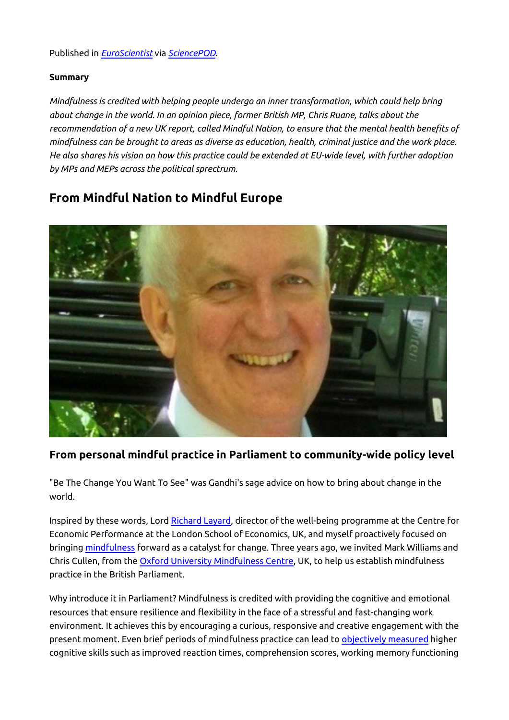#### Published in *[EuroScientist](http://www.euroscientist.com/from-mindful-nation-to-mindful-europe)* via *[SciencePOD](https://sciencepod.net/)*.

#### **Summary**

*Mindfulness is credited with helping people undergo an inner transformation, which could help bring about change in the world. In an opinion piece, former British MP, Chris Ruane, talks about the recommendation of a new UK report, called Mindful Nation, to ensure that the mental health benefits of mindfulness can be brought to areas as diverse as education, health, criminal justice and the work place. He also shares his vision on how this practice could be extended at EU-wide level, with further adoption by MPs and MEPs across the political sprectrum.*

# **From Mindful Nation to Mindful Europe**



### **From personal mindful practice in Parliament to community-wide policy level**

"Be The Change You Want To See" was Gandhi's sage advice on how to bring about change in the world.

Inspired by these words, Lord [Richard Layard](http://cep.lse.ac.uk/_new/staff/person.asp?id=970), director of the well-being programme at the Centre for Economic Performance at the London School of Economics, UK, and myself proactively focused on bringing [mindfulness](http://www.euroscientist.com/shifting-the-perspective-of-sceptical-minds/) forward as a catalyst for change. Three years ago, we invited Mark Williams and Chris Cullen, from the [Oxford University Mindfulness Centre](http://www.oxfordmindfulness.org/), UK, to help us establish mindfulness practice in the British Parliament.

Why introduce it in Parliament? Mindfulness is credited with providing the cognitive and emotional resources that ensure resilience and flexibility in the face of a stressful and fast-changing work environment. It achieves this by encouraging a curious, responsive and creative engagement with the present moment. Even brief periods of mindfulness practice can lead to [objectively measured](http://www.ncbi.nlm.nih.gov/pubmed/20363650) higher cognitive skills such as improved reaction times, comprehension scores, working memory functioning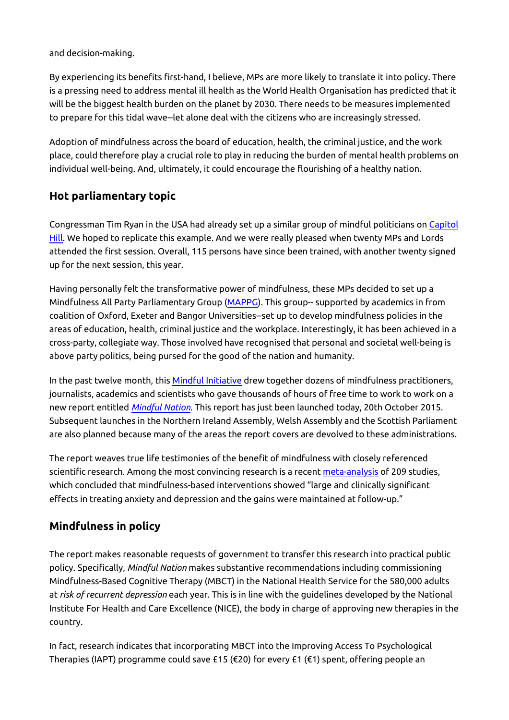and decision-making.

By experiencing its benefits first-hand, I believe, MPs are more likely to translate it into policy. There is a pressing need to address mental ill health as the World Health Organisation has predicted that it will be the biggest health burden on the planet by 2030. There needs to be measures implemented to prepare for this tidal wave--let alone deal with the citizens who are increasingly stressed.

Adoption of mindfulness across the board of education, health, the criminal justice, and the work place, could therefore play a crucial role to play in reducing the burden of mental health problems on individual well-being. And, ultimately, it could encourage the flourishing of a healthy nation.

### **Hot parliamentary topic**

Congressman Tim Ryan in the USA had already set up a similar group of mindful politicians on [Capitol](http://www.huffingtonpost.com/2013/07/25/tim-ryan-quiet-time-caucus_n_3653247.html) [Hill](http://www.huffingtonpost.com/2013/07/25/tim-ryan-quiet-time-caucus_n_3653247.html). We hoped to replicate this example. And we were really pleased when twenty MPs and Lords attended the first session. Overall, 115 persons have since been trained, with another twenty signed up for the next session, this year.

Having personally felt the transformative power of mindfulness, these MPs decided to set up a Mindfulness All Party Parliamentary Group ([MAPPG\)](http://www.oxfordmindfulness.org/all-party-parliamentary-launch/). This group-- supported by academics in from coalition of Oxford, Exeter and Bangor Universities--set up to develop mindfulness policies in the areas of education, health, criminal justice and the workplace. Interestingly, it has been achieved in a cross-party, collegiate way. Those involved have recognised that personal and societal well-being is above party politics, being pursed for the good of the nation and humanity.

In the past twelve month, this [Mindful Initiative](http://www.themindfulnessinitiative.org.uk/) drew together dozens of mindfulness practitioners, journalists, academics and scientists who gave thousands of hours of free time to work to work on a new report entitled *[Mindful Nation](http://www.themindfulnessinitiative.org.uk/mindful-nation-uk)*. This report has just been launched today, 20th October 2015. Subsequent launches in the Northern Ireland Assembly, Welsh Assembly and the Scottish Parliament are also planned because many of the areas the report covers are devolved to these administrations.

The report weaves true life testimonies of the benefit of mindfulness with closely referenced scientific research. Among the most convincing research is a recent [meta-analysis](http://www.ncbi.nlm.nih.gov/pubmed/23796855) of 209 studies, which concluded that mindfulness-based interventions showed "large and clinically significant effects in treating anxiety and depression and the gains were maintained at follow-up."

# **Mindfulness in policy**

The report makes reasonable requests of government to transfer this research into practical public policy. Specifically, *Mindful Nation* makes substantive recommendations including commissioning Mindfulness-Based Cognitive Therapy (MBCT) in the National Health Service for the 580,000 adults at *[risk of recurrent depression](http://www.ncbi.nlm.nih.gov/pubmed/25907157)* each year. This is in line with the guidelines developed by the National Institute For Health and Care Excellence (NICE), the body in charge of approving new therapies in the country.

In fact, research indicates that incorporating MBCT into the Improving Access To Psychological Therapies (IAPT) programme could save £15 (€20) for every £1 (€1) spent, offering people an